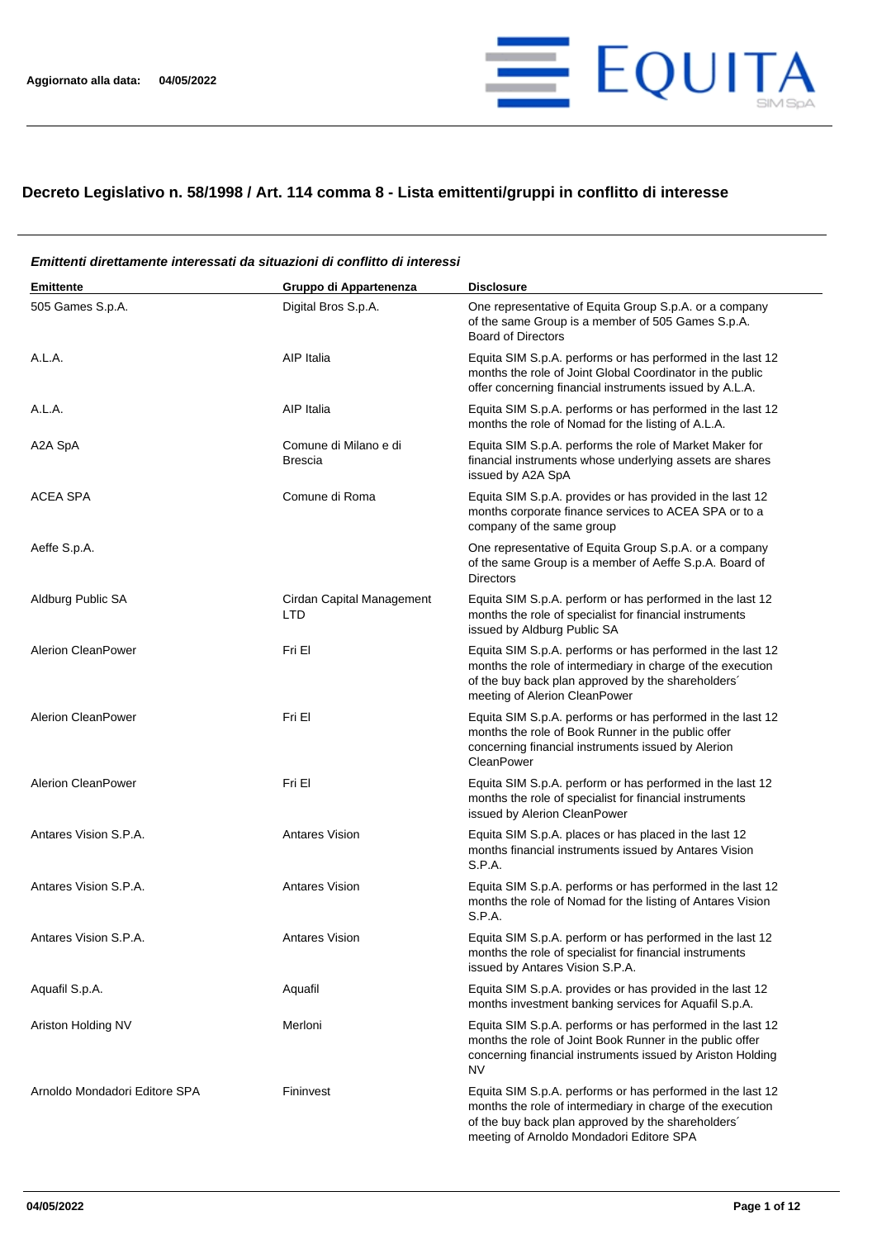

## **Decreto Legislativo n. 58/1998 / Art. 114 comma 8 - Lista emittenti/gruppi in conflitto di interesse**

#### **Emittente Gruppo di Appartenenza Disclosure** 505 Games S.p.A. Digital Bros S.p.A. One representative of Equita Group S.p.A. or a company of the same Group is a member of 505 Games S.p.A. Board of Directors A.L.A. A.L.A. A.L.A. A.L.A. A.L.A. **A.L.A.** A.L.A. performs or has performed in the last 12 months the role of Joint Global Coordinator in the public offer concerning financial instruments issued by A.L.A. A.L.A. A.L.A. A.L.A. AIP Italia AIP Italia Equita SIM S.p.A. performs or has performed in the last 12 months the role of Nomad for the listing of A.L.A. A2A SpA Comune di Milano e di Brescia Equita SIM S.p.A. performs the role of Market Maker for financial instruments whose underlying assets are shares issued by A2A SpA ACEA SPA Comune di Roma Equita SIM S.p.A. provides or has provided in the last 12 months corporate finance services to ACEA SPA or to a company of the same group Aeffe S.p.A. One representative of Equita Group S.p.A. or a company of the same Group is a member of Aeffe S.p.A. Board of Directors Aldburg Public SA Cirdan Capital Management LTD Equita SIM S.p.A. perform or has performed in the last 12 months the role of specialist for financial instruments issued by Aldburg Public SA Alerion CleanPower **Fri El El El El El El El El El El El El El** Equita SIM S.p.A. performs or has performed in the last 12 months the role of intermediary in charge of the execution of the buy back plan approved by the shareholders´ meeting of Alerion CleanPower Alerion CleanPower **Fri El El El El El El El El El El El El El** Equita SIM S.p.A. performs or has performed in the last 12 months the role of Book Runner in the public offer concerning financial instruments issued by Alerion **CleanPower** Alerion CleanPower Fri El Fri El El Equita SIM S.p.A. perform or has performed in the last 12 months the role of specialist for financial instruments issued by Alerion CleanPower Antares Vision S.P.A. **Antares Vision** Antares Vision Equita SIM S.p.A. places or has placed in the last 12 months financial instruments issued by Antares Vision S.P.A. Antares Vision S.P.A. **Antares Vision** Antares Vision Equita SIM S.p.A. performs or has performed in the last 12 months the role of Nomad for the listing of Antares Vision S.P.A. Antares Vision S.P.A. Antares Vision Equita SIM S.p.A. perform or has performed in the last 12 months the role of specialist for financial instruments issued by Antares Vision S.P.A. Aquafil S.p.A. Aquafil Aquafil Equita SIM S.p.A. provides or has provided in the last 12 months investment banking services for Aquafil S.p.A. Ariston Holding NV **Merloni** Merloni **Equita SIM S.p.A. performs or has performed in the last 12** months the role of Joint Book Runner in the public offer concerning financial instruments issued by Ariston Holding NV Arnoldo Mondadori Editore SPA Fininvest Fininvest Equita SIM S.p.A. performs or has performed in the last 12 months the role of intermediary in charge of the execution of the buy back plan approved by the shareholders´ meeting of Arnoldo Mondadori Editore SPA

# *Emittenti direttamente interessati da situazioni di conflitto di interessi*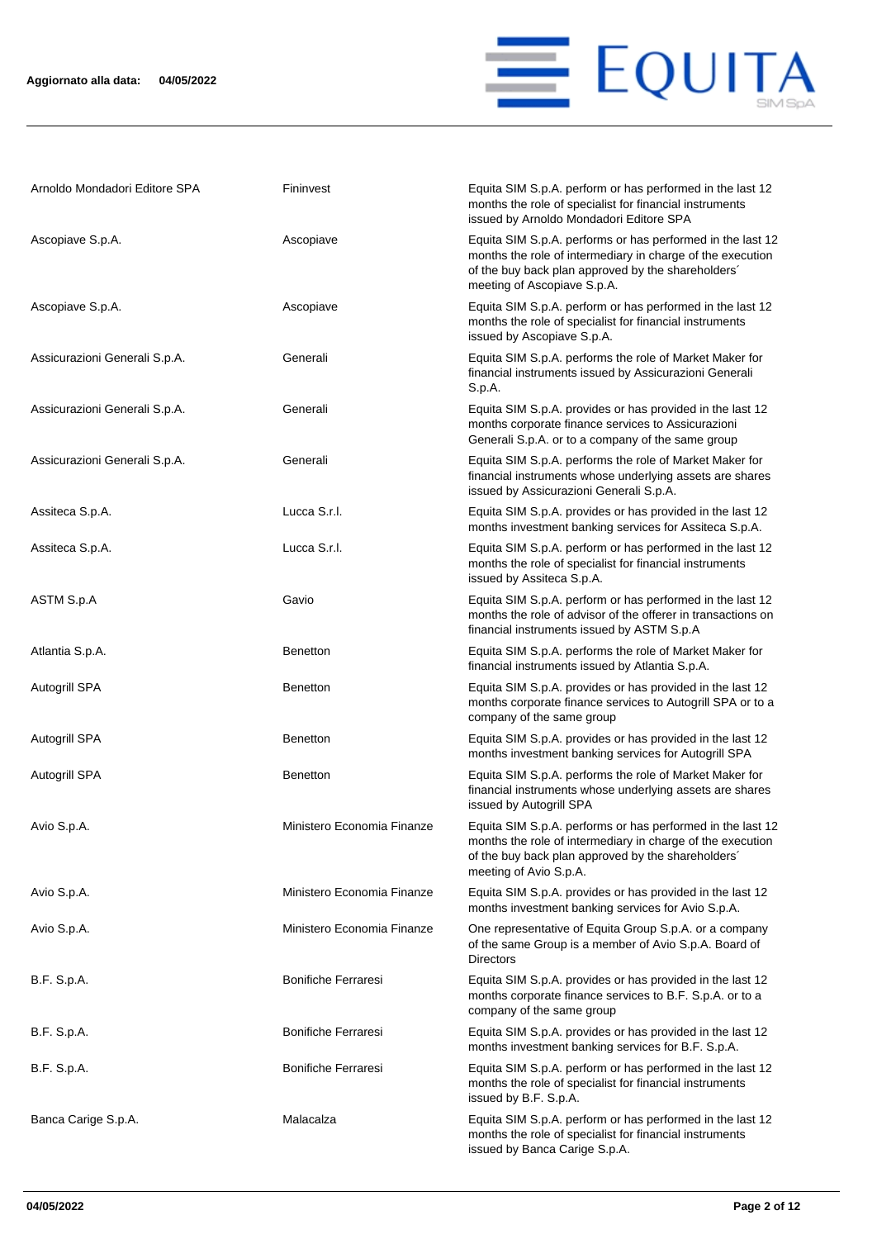

| Arnoldo Mondadori Editore SPA | Fininvest                  | Equita SIM S.p.A. perform or has performed in the last 12<br>months the role of specialist for financial instruments<br>issued by Arnoldo Mondadori Editore SPA                                               |
|-------------------------------|----------------------------|---------------------------------------------------------------------------------------------------------------------------------------------------------------------------------------------------------------|
| Ascopiave S.p.A.              | Ascopiave                  | Equita SIM S.p.A. performs or has performed in the last 12<br>months the role of intermediary in charge of the execution<br>of the buy back plan approved by the shareholders'<br>meeting of Ascopiave S.p.A. |
| Ascopiave S.p.A.              | Ascopiave                  | Equita SIM S.p.A. perform or has performed in the last 12<br>months the role of specialist for financial instruments<br>issued by Ascopiave S.p.A.                                                            |
| Assicurazioni Generali S.p.A. | Generali                   | Equita SIM S.p.A. performs the role of Market Maker for<br>financial instruments issued by Assicurazioni Generali<br>S.p.A.                                                                                   |
| Assicurazioni Generali S.p.A. | Generali                   | Equita SIM S.p.A. provides or has provided in the last 12<br>months corporate finance services to Assicurazioni<br>Generali S.p.A. or to a company of the same group                                          |
| Assicurazioni Generali S.p.A. | Generali                   | Equita SIM S.p.A. performs the role of Market Maker for<br>financial instruments whose underlying assets are shares<br>issued by Assicurazioni Generali S.p.A.                                                |
| Assiteca S.p.A.               | Lucca S.r.l.               | Equita SIM S.p.A. provides or has provided in the last 12<br>months investment banking services for Assiteca S.p.A.                                                                                           |
| Assiteca S.p.A.               | Lucca S.r.l.               | Equita SIM S.p.A. perform or has performed in the last 12<br>months the role of specialist for financial instruments<br>issued by Assiteca S.p.A.                                                             |
| ASTM S.p.A                    | Gavio                      | Equita SIM S.p.A. perform or has performed in the last 12<br>months the role of advisor of the offerer in transactions on<br>financial instruments issued by ASTM S.p.A                                       |
| Atlantia S.p.A.               | <b>Benetton</b>            | Equita SIM S.p.A. performs the role of Market Maker for<br>financial instruments issued by Atlantia S.p.A.                                                                                                    |
| Autogrill SPA                 | <b>Benetton</b>            | Equita SIM S.p.A. provides or has provided in the last 12<br>months corporate finance services to Autogrill SPA or to a<br>company of the same group                                                          |
| Autogrill SPA                 | <b>Benetton</b>            | Equita SIM S.p.A. provides or has provided in the last 12<br>months investment banking services for Autogrill SPA                                                                                             |
| Autogrill SPA                 | <b>Benetton</b>            | Equita SIM S.p.A. performs the role of Market Maker for<br>financial instruments whose underlying assets are shares<br>issued by Autogrill SPA                                                                |
| Avio S.p.A.                   | Ministero Economia Finanze | Equita SIM S.p.A. performs or has performed in the last 12<br>months the role of intermediary in charge of the execution<br>of the buy back plan approved by the shareholders'<br>meeting of Avio S.p.A.      |
| Avio S.p.A.                   | Ministero Economia Finanze | Equita SIM S.p.A. provides or has provided in the last 12<br>months investment banking services for Avio S.p.A.                                                                                               |
| Avio S.p.A.                   | Ministero Economia Finanze | One representative of Equita Group S.p.A. or a company<br>of the same Group is a member of Avio S.p.A. Board of<br><b>Directors</b>                                                                           |
| B.F. S.p.A.                   | <b>Bonifiche Ferraresi</b> | Equita SIM S.p.A. provides or has provided in the last 12<br>months corporate finance services to B.F. S.p.A. or to a<br>company of the same group                                                            |
| <b>B.F. S.p.A.</b>            | <b>Bonifiche Ferraresi</b> | Equita SIM S.p.A. provides or has provided in the last 12<br>months investment banking services for B.F. S.p.A.                                                                                               |
| B.F. S.p.A.                   | <b>Bonifiche Ferraresi</b> | Equita SIM S.p.A. perform or has performed in the last 12<br>months the role of specialist for financial instruments<br>issued by B.F. S.p.A.                                                                 |
| Banca Carige S.p.A.           | Malacalza                  | Equita SIM S.p.A. perform or has performed in the last 12<br>months the role of specialist for financial instruments<br>issued by Banca Carige S.p.A.                                                         |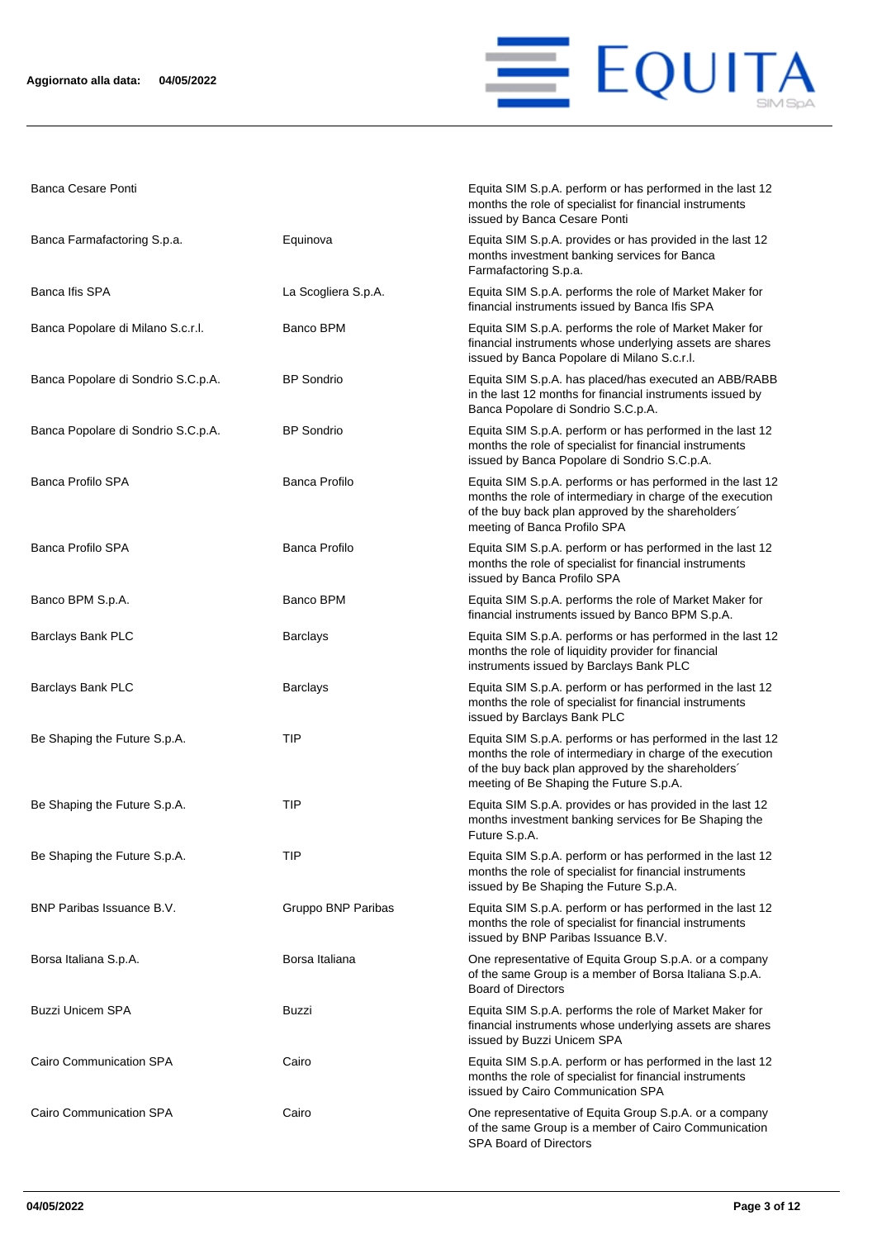

Banca Cesare Ponti **Equita SIM S.p.A. perform or has performed in the last 12** 

|                                    |                      | months the role of specialist for financial instruments<br>issued by Banca Cesare Ponti                                                                                                                                   |
|------------------------------------|----------------------|---------------------------------------------------------------------------------------------------------------------------------------------------------------------------------------------------------------------------|
| Banca Farmafactoring S.p.a.        | Equinova             | Equita SIM S.p.A. provides or has provided in the last 12<br>months investment banking services for Banca<br>Farmafactoring S.p.a.                                                                                        |
| Banca Ifis SPA                     | La Scogliera S.p.A.  | Equita SIM S.p.A. performs the role of Market Maker for<br>financial instruments issued by Banca Ifis SPA                                                                                                                 |
| Banca Popolare di Milano S.c.r.l.  | Banco BPM            | Equita SIM S.p.A. performs the role of Market Maker for<br>financial instruments whose underlying assets are shares<br>issued by Banca Popolare di Milano S.c.r.l.                                                        |
| Banca Popolare di Sondrio S.C.p.A. | <b>BP</b> Sondrio    | Equita SIM S.p.A. has placed/has executed an ABB/RABB<br>in the last 12 months for financial instruments issued by<br>Banca Popolare di Sondrio S.C.p.A.                                                                  |
| Banca Popolare di Sondrio S.C.p.A. | <b>BP</b> Sondrio    | Equita SIM S.p.A. perform or has performed in the last 12<br>months the role of specialist for financial instruments<br>issued by Banca Popolare di Sondrio S.C.p.A.                                                      |
| <b>Banca Profilo SPA</b>           | <b>Banca Profilo</b> | Equita SIM S.p.A. performs or has performed in the last 12<br>months the role of intermediary in charge of the execution<br>of the buy back plan approved by the shareholders'<br>meeting of Banca Profilo SPA            |
| <b>Banca Profilo SPA</b>           | Banca Profilo        | Equita SIM S.p.A. perform or has performed in the last 12<br>months the role of specialist for financial instruments<br>issued by Banca Profilo SPA                                                                       |
| Banco BPM S.p.A.                   | Banco BPM            | Equita SIM S.p.A. performs the role of Market Maker for<br>financial instruments issued by Banco BPM S.p.A.                                                                                                               |
| Barclays Bank PLC                  | <b>Barclays</b>      | Equita SIM S.p.A. performs or has performed in the last 12<br>months the role of liquidity provider for financial<br>instruments issued by Barclays Bank PLC                                                              |
| Barclays Bank PLC                  | <b>Barclays</b>      | Equita SIM S.p.A. perform or has performed in the last 12<br>months the role of specialist for financial instruments<br>issued by Barclays Bank PLC                                                                       |
| Be Shaping the Future S.p.A.       | TIP                  | Equita SIM S.p.A. performs or has performed in the last 12<br>months the role of intermediary in charge of the execution<br>of the buy back plan approved by the shareholders'<br>meeting of Be Shaping the Future S.p.A. |
| Be Shaping the Future S.p.A.       | TIP                  | Equita SIM S.p.A. provides or has provided in the last 12<br>months investment banking services for Be Shaping the<br>Future S.p.A.                                                                                       |
| Be Shaping the Future S.p.A.       | <b>TIP</b>           | Equita SIM S.p.A. perform or has performed in the last 12<br>months the role of specialist for financial instruments<br>issued by Be Shaping the Future S.p.A.                                                            |
| BNP Paribas Issuance B.V.          | Gruppo BNP Paribas   | Equita SIM S.p.A. perform or has performed in the last 12<br>months the role of specialist for financial instruments<br>issued by BNP Paribas Issuance B.V.                                                               |
| Borsa Italiana S.p.A.              | Borsa Italiana       | One representative of Equita Group S.p.A. or a company<br>of the same Group is a member of Borsa Italiana S.p.A.<br><b>Board of Directors</b>                                                                             |
| <b>Buzzi Unicem SPA</b>            | Buzzi                | Equita SIM S.p.A. performs the role of Market Maker for<br>financial instruments whose underlying assets are shares<br>issued by Buzzi Unicem SPA                                                                         |
| Cairo Communication SPA            | Cairo                | Equita SIM S.p.A. perform or has performed in the last 12<br>months the role of specialist for financial instruments<br>issued by Cairo Communication SPA                                                                 |
| Cairo Communication SPA            | Cairo                | One representative of Equita Group S.p.A. or a company<br>of the same Group is a member of Cairo Communication<br><b>SPA Board of Directors</b>                                                                           |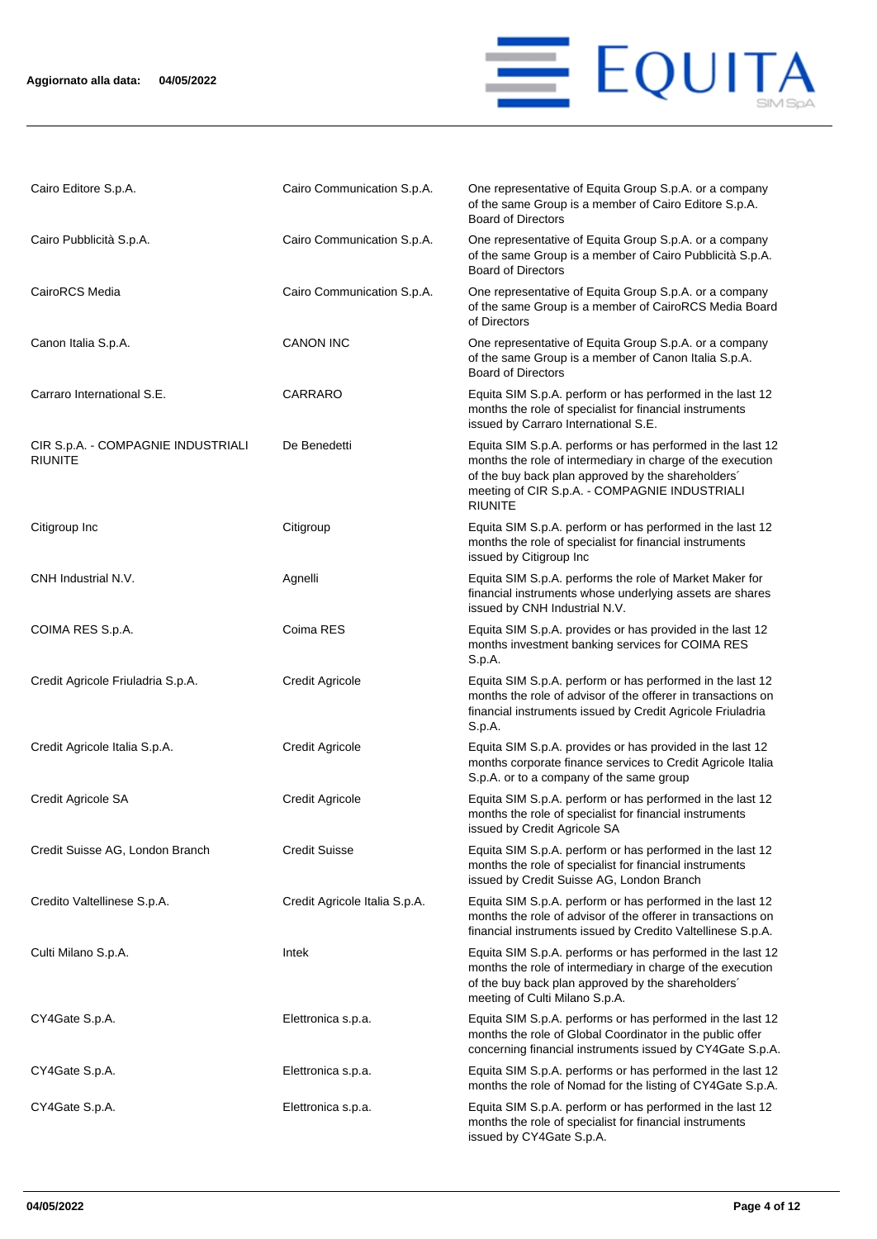### **Aggiornato alla data: 04/05/2022**



| Cairo Editore S.p.A.                                 | Cairo Communication S.p.A.    | One representative of Equita Group S.p.A. or a company<br>of the same Group is a member of Cairo Editore S.p.A.<br><b>Board of Directors</b>                                                                                                      |
|------------------------------------------------------|-------------------------------|---------------------------------------------------------------------------------------------------------------------------------------------------------------------------------------------------------------------------------------------------|
| Cairo Pubblicità S.p.A.                              | Cairo Communication S.p.A.    | One representative of Equita Group S.p.A. or a company<br>of the same Group is a member of Cairo Pubblicità S.p.A.<br><b>Board of Directors</b>                                                                                                   |
| CairoRCS Media                                       | Cairo Communication S.p.A.    | One representative of Equita Group S.p.A. or a company<br>of the same Group is a member of CairoRCS Media Board<br>of Directors                                                                                                                   |
| Canon Italia S.p.A.                                  | <b>CANON INC</b>              | One representative of Equita Group S.p.A. or a company<br>of the same Group is a member of Canon Italia S.p.A.<br><b>Board of Directors</b>                                                                                                       |
| Carraro International S.E.                           | CARRARO                       | Equita SIM S.p.A. perform or has performed in the last 12<br>months the role of specialist for financial instruments<br>issued by Carraro International S.E.                                                                                      |
| CIR S.p.A. - COMPAGNIE INDUSTRIALI<br><b>RIUNITE</b> | De Benedetti                  | Equita SIM S.p.A. performs or has performed in the last 12<br>months the role of intermediary in charge of the execution<br>of the buy back plan approved by the shareholders'<br>meeting of CIR S.p.A. - COMPAGNIE INDUSTRIALI<br><b>RIUNITE</b> |
| Citigroup Inc                                        | Citigroup                     | Equita SIM S.p.A. perform or has performed in the last 12<br>months the role of specialist for financial instruments<br>issued by Citigroup Inc                                                                                                   |
| CNH Industrial N.V.                                  | Agnelli                       | Equita SIM S.p.A. performs the role of Market Maker for<br>financial instruments whose underlying assets are shares<br>issued by CNH Industrial N.V.                                                                                              |
| COIMA RES S.p.A.                                     | Coima RES                     | Equita SIM S.p.A. provides or has provided in the last 12<br>months investment banking services for COIMA RES<br>S.p.A.                                                                                                                           |
| Credit Agricole Friuladria S.p.A.                    | <b>Credit Agricole</b>        | Equita SIM S.p.A. perform or has performed in the last 12<br>months the role of advisor of the offerer in transactions on<br>financial instruments issued by Credit Agricole Friuladria<br>S.p.A.                                                 |
| Credit Agricole Italia S.p.A.                        | <b>Credit Agricole</b>        | Equita SIM S.p.A. provides or has provided in the last 12<br>months corporate finance services to Credit Agricole Italia<br>S.p.A. or to a company of the same group                                                                              |
| Credit Agricole SA                                   | <b>Credit Agricole</b>        | Equita SIM S.p.A. perform or has performed in the last 12<br>months the role of specialist for financial instruments<br>issued by Credit Agricole SA                                                                                              |
| Credit Suisse AG, London Branch                      | <b>Credit Suisse</b>          | Equita SIM S.p.A. perform or has performed in the last 12<br>months the role of specialist for financial instruments<br>issued by Credit Suisse AG, London Branch                                                                                 |
| Credito Valtellinese S.p.A.                          | Credit Agricole Italia S.p.A. | Equita SIM S.p.A. perform or has performed in the last 12<br>months the role of advisor of the offerer in transactions on<br>financial instruments issued by Credito Valtellinese S.p.A.                                                          |
| Culti Milano S.p.A.                                  | Intek                         | Equita SIM S.p.A. performs or has performed in the last 12<br>months the role of intermediary in charge of the execution<br>of the buy back plan approved by the shareholders'<br>meeting of Culti Milano S.p.A.                                  |
| CY4Gate S.p.A.                                       | Elettronica s.p.a.            | Equita SIM S.p.A. performs or has performed in the last 12<br>months the role of Global Coordinator in the public offer<br>concerning financial instruments issued by CY4Gate S.p.A.                                                              |
| CY4Gate S.p.A.                                       | Elettronica s.p.a.            | Equita SIM S.p.A. performs or has performed in the last 12<br>months the role of Nomad for the listing of CY4Gate S.p.A.                                                                                                                          |
| CY4Gate S.p.A.                                       | Elettronica s.p.a.            | Equita SIM S.p.A. perform or has performed in the last 12<br>months the role of specialist for financial instruments<br>issued by CY4Gate S.p.A.                                                                                                  |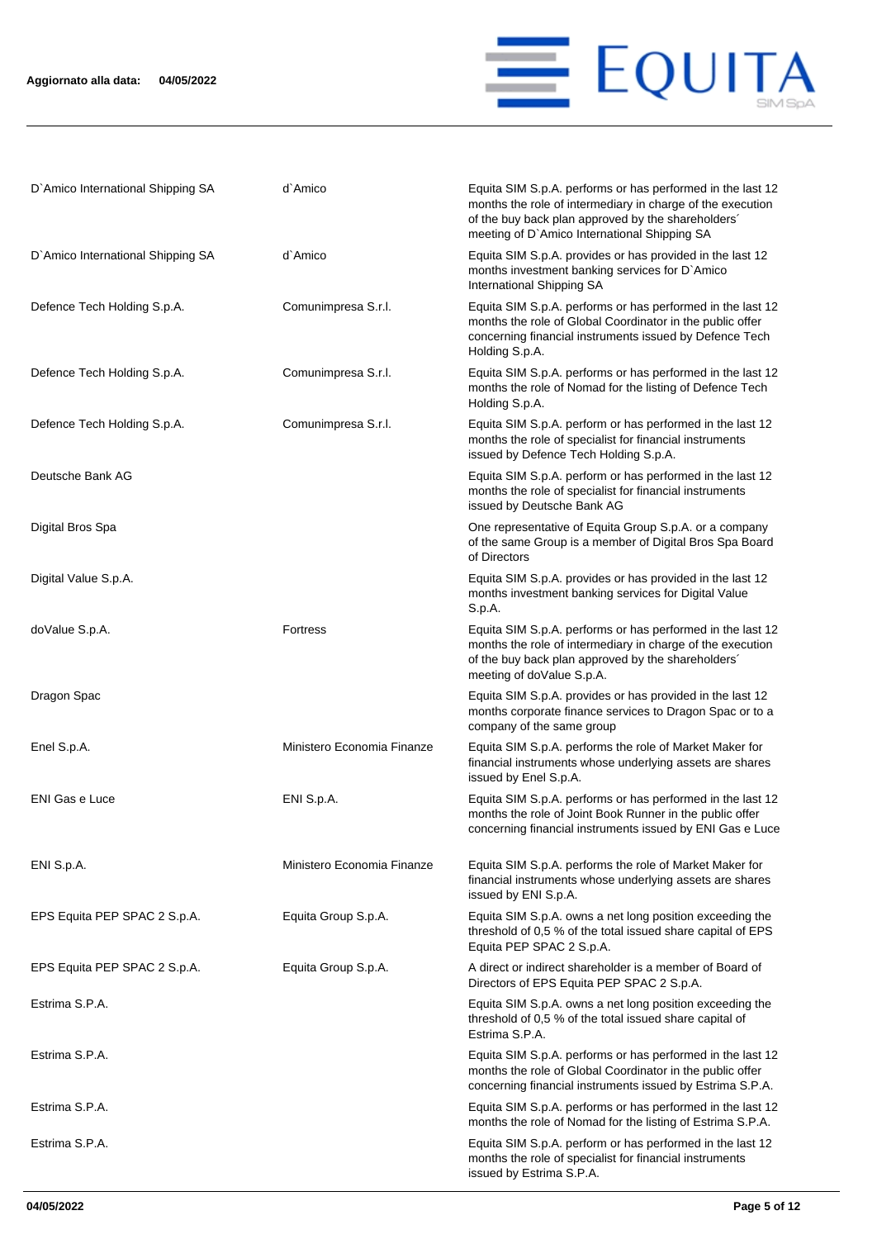

| D'Amico International Shipping SA | d`Amico                    | Equita SIM S.p.A. performs or has performed in the last 12<br>months the role of intermediary in charge of the execution<br>of the buy back plan approved by the shareholders'<br>meeting of D'Amico International Shipping SA |
|-----------------------------------|----------------------------|--------------------------------------------------------------------------------------------------------------------------------------------------------------------------------------------------------------------------------|
| D'Amico International Shipping SA | d`Amico                    | Equita SIM S.p.A. provides or has provided in the last 12<br>months investment banking services for D'Amico<br>International Shipping SA                                                                                       |
| Defence Tech Holding S.p.A.       | Comunimpresa S.r.l.        | Equita SIM S.p.A. performs or has performed in the last 12<br>months the role of Global Coordinator in the public offer<br>concerning financial instruments issued by Defence Tech<br>Holding S.p.A.                           |
| Defence Tech Holding S.p.A.       | Comunimpresa S.r.l.        | Equita SIM S.p.A. performs or has performed in the last 12<br>months the role of Nomad for the listing of Defence Tech<br>Holding S.p.A.                                                                                       |
| Defence Tech Holding S.p.A.       | Comunimpresa S.r.l.        | Equita SIM S.p.A. perform or has performed in the last 12<br>months the role of specialist for financial instruments<br>issued by Defence Tech Holding S.p.A.                                                                  |
| Deutsche Bank AG                  |                            | Equita SIM S.p.A. perform or has performed in the last 12<br>months the role of specialist for financial instruments<br>issued by Deutsche Bank AG                                                                             |
| Digital Bros Spa                  |                            | One representative of Equita Group S.p.A. or a company<br>of the same Group is a member of Digital Bros Spa Board<br>of Directors                                                                                              |
| Digital Value S.p.A.              |                            | Equita SIM S.p.A. provides or has provided in the last 12<br>months investment banking services for Digital Value<br>S.p.A.                                                                                                    |
| doValue S.p.A.                    | <b>Fortress</b>            | Equita SIM S.p.A. performs or has performed in the last 12<br>months the role of intermediary in charge of the execution<br>of the buy back plan approved by the shareholders'<br>meeting of doValue S.p.A.                    |
| Dragon Spac                       |                            | Equita SIM S.p.A. provides or has provided in the last 12<br>months corporate finance services to Dragon Spac or to a<br>company of the same group                                                                             |
| Enel S.p.A.                       | Ministero Economia Finanze | Equita SIM S.p.A. performs the role of Market Maker for<br>financial instruments whose underlying assets are shares<br>issued by Enel S.p.A.                                                                                   |
| <b>ENI Gas e Luce</b>             | ENI S.p.A.                 | Equita SIM S.p.A. performs or has performed in the last 12<br>months the role of Joint Book Runner in the public offer<br>concerning financial instruments issued by ENI Gas e Luce                                            |
| ENI S.p.A.                        | Ministero Economia Finanze | Equita SIM S.p.A. performs the role of Market Maker for<br>financial instruments whose underlying assets are shares<br>issued by ENI S.p.A.                                                                                    |
| EPS Equita PEP SPAC 2 S.p.A.      | Equita Group S.p.A.        | Equita SIM S.p.A. owns a net long position exceeding the<br>threshold of 0,5 % of the total issued share capital of EPS<br>Equita PEP SPAC 2 S.p.A.                                                                            |
| EPS Equita PEP SPAC 2 S.p.A.      | Equita Group S.p.A.        | A direct or indirect shareholder is a member of Board of<br>Directors of EPS Equita PEP SPAC 2 S.p.A.                                                                                                                          |
| Estrima S.P.A.                    |                            | Equita SIM S.p.A. owns a net long position exceeding the<br>threshold of 0,5 % of the total issued share capital of<br>Estrima S.P.A.                                                                                          |
| Estrima S.P.A.                    |                            | Equita SIM S.p.A. performs or has performed in the last 12<br>months the role of Global Coordinator in the public offer<br>concerning financial instruments issued by Estrima S.P.A.                                           |
| Estrima S.P.A.                    |                            | Equita SIM S.p.A. performs or has performed in the last 12<br>months the role of Nomad for the listing of Estrima S.P.A.                                                                                                       |
| Estrima S.P.A.                    |                            | Equita SIM S.p.A. perform or has performed in the last 12<br>months the role of specialist for financial instruments<br>issued by Estrima S.P.A.                                                                               |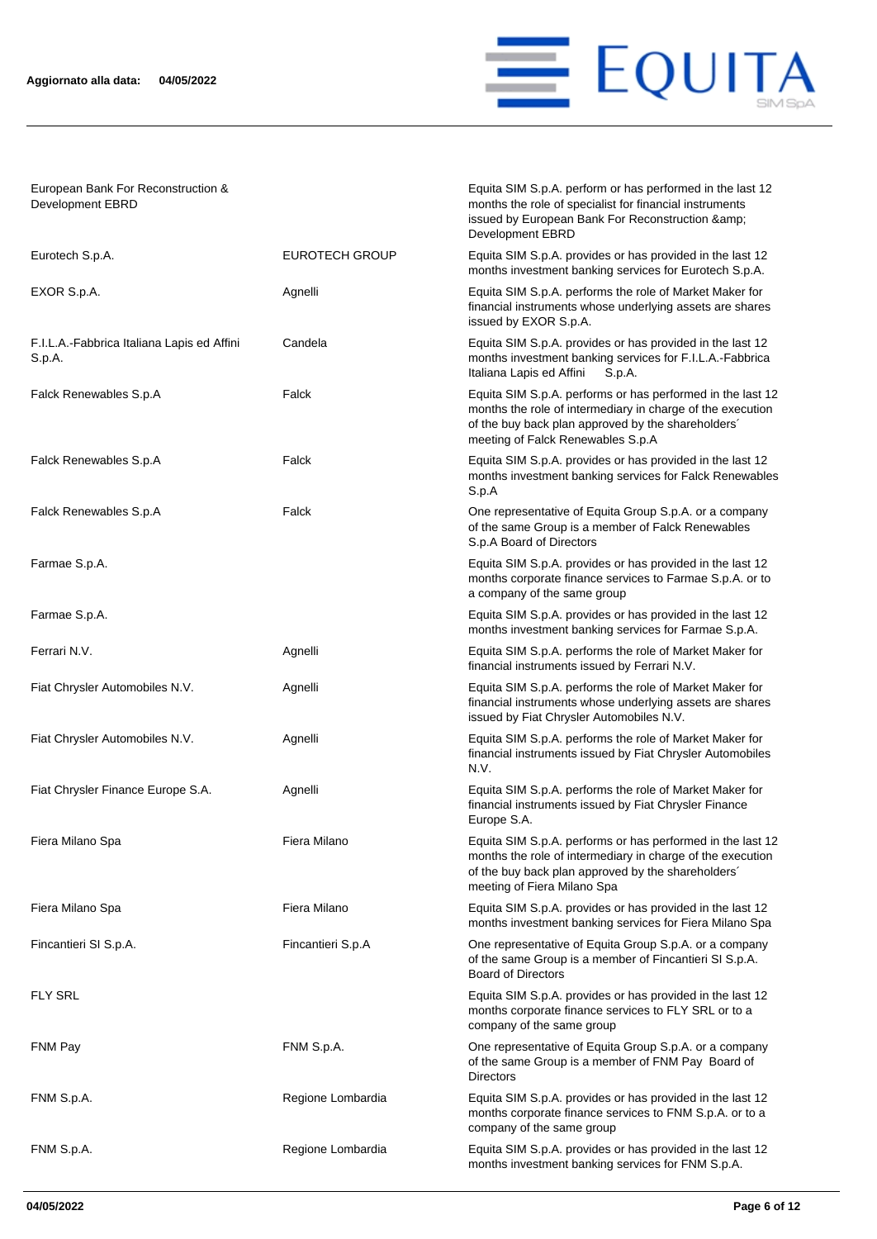

Equita SIM S.p.A. perform or has performed in the last 12 months the role of specialist for financial instruments issued by European Bank For Reconstruction &

European Bank For Reconstruction & Development EBRD

|                                                      |                       | Development EBRD                                                                                                                                                                                                    |
|------------------------------------------------------|-----------------------|---------------------------------------------------------------------------------------------------------------------------------------------------------------------------------------------------------------------|
| Eurotech S.p.A.                                      | <b>EUROTECH GROUP</b> | Equita SIM S.p.A. provides or has provided in the last 12<br>months investment banking services for Eurotech S.p.A.                                                                                                 |
| EXOR S.p.A.                                          | Agnelli               | Equita SIM S.p.A. performs the role of Market Maker for<br>financial instruments whose underlying assets are shares<br>issued by EXOR S.p.A.                                                                        |
| F.I.L.A.-Fabbrica Italiana Lapis ed Affini<br>S.p.A. | Candela               | Equita SIM S.p.A. provides or has provided in the last 12<br>months investment banking services for F.I.L.A.-Fabbrica<br>Italiana Lapis ed Affini<br>S.p.A.                                                         |
| Falck Renewables S.p.A                               | Falck                 | Equita SIM S.p.A. performs or has performed in the last 12<br>months the role of intermediary in charge of the execution<br>of the buy back plan approved by the shareholders'<br>meeting of Falck Renewables S.p.A |
| Falck Renewables S.p.A                               | Falck                 | Equita SIM S.p.A. provides or has provided in the last 12<br>months investment banking services for Falck Renewables<br>S.p.A                                                                                       |
| Falck Renewables S.p.A                               | Falck                 | One representative of Equita Group S.p.A. or a company<br>of the same Group is a member of Falck Renewables<br>S.p.A Board of Directors                                                                             |
| Farmae S.p.A.                                        |                       | Equita SIM S.p.A. provides or has provided in the last 12<br>months corporate finance services to Farmae S.p.A. or to<br>a company of the same group                                                                |
| Farmae S.p.A.                                        |                       | Equita SIM S.p.A. provides or has provided in the last 12<br>months investment banking services for Farmae S.p.A.                                                                                                   |
| Ferrari N.V.                                         | Agnelli               | Equita SIM S.p.A. performs the role of Market Maker for<br>financial instruments issued by Ferrari N.V.                                                                                                             |
| Fiat Chrysler Automobiles N.V.                       | Agnelli               | Equita SIM S.p.A. performs the role of Market Maker for<br>financial instruments whose underlying assets are shares<br>issued by Fiat Chrysler Automobiles N.V.                                                     |
| Fiat Chrysler Automobiles N.V.                       | Agnelli               | Equita SIM S.p.A. performs the role of Market Maker for<br>financial instruments issued by Fiat Chrysler Automobiles<br>N.V.                                                                                        |
| Fiat Chrysler Finance Europe S.A.                    | Agnelli               | Equita SIM S.p.A. performs the role of Market Maker for<br>financial instruments issued by Fiat Chrysler Finance<br>Europe S.A.                                                                                     |
| Fiera Milano Spa                                     | Fiera Milano          | Equita SIM S.p.A. performs or has performed in the last 12<br>months the role of intermediary in charge of the execution<br>of the buy back plan approved by the shareholders'<br>meeting of Fiera Milano Spa       |
| Fiera Milano Spa                                     | Fiera Milano          | Equita SIM S.p.A. provides or has provided in the last 12<br>months investment banking services for Fiera Milano Spa                                                                                                |
| Fincantieri SI S.p.A.                                | Fincantieri S.p.A     | One representative of Equita Group S.p.A. or a company<br>of the same Group is a member of Fincantieri SI S.p.A.<br><b>Board of Directors</b>                                                                       |
| <b>FLY SRL</b>                                       |                       | Equita SIM S.p.A. provides or has provided in the last 12<br>months corporate finance services to FLY SRL or to a<br>company of the same group                                                                      |
| FNM Pay                                              | FNM S.p.A.            | One representative of Equita Group S.p.A. or a company<br>of the same Group is a member of FNM Pay Board of<br><b>Directors</b>                                                                                     |
| FNM S.p.A.                                           | Regione Lombardia     | Equita SIM S.p.A. provides or has provided in the last 12<br>months corporate finance services to FNM S.p.A. or to a<br>company of the same group                                                                   |
| FNM S.p.A.                                           | Regione Lombardia     | Equita SIM S.p.A. provides or has provided in the last 12<br>months investment banking services for FNM S.p.A.                                                                                                      |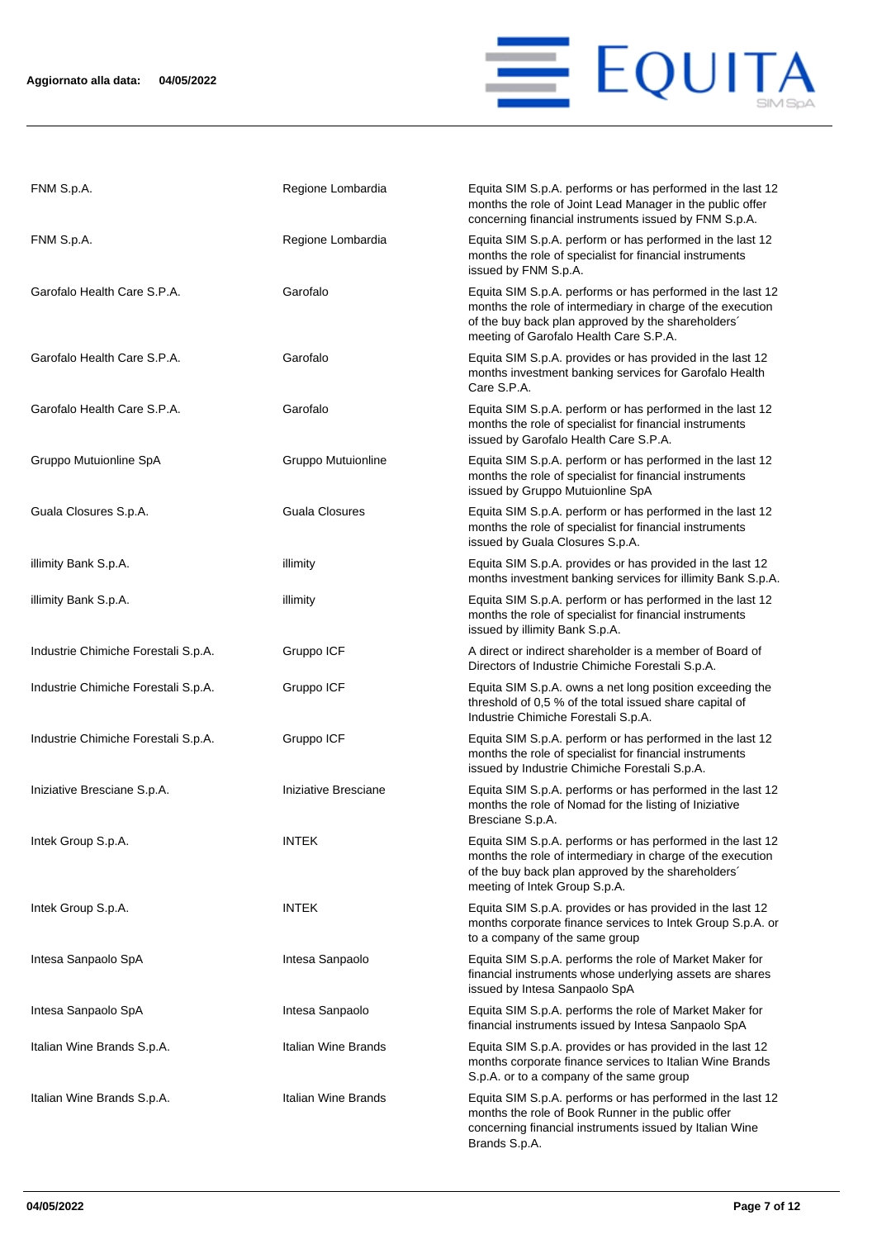

| FNM S.p.A.                          | Regione Lombardia     | Equita SIM S.p.A. performs or has performed in the last 12<br>months the role of Joint Lead Manager in the public offer<br>concerning financial instruments issued by FNM S.p.A.                                         |
|-------------------------------------|-----------------------|--------------------------------------------------------------------------------------------------------------------------------------------------------------------------------------------------------------------------|
| FNM S.p.A.                          | Regione Lombardia     | Equita SIM S.p.A. perform or has performed in the last 12<br>months the role of specialist for financial instruments<br>issued by FNM S.p.A.                                                                             |
| Garofalo Health Care S.P.A.         | Garofalo              | Equita SIM S.p.A. performs or has performed in the last 12<br>months the role of intermediary in charge of the execution<br>of the buy back plan approved by the shareholders'<br>meeting of Garofalo Health Care S.P.A. |
| Garofalo Health Care S.P.A.         | Garofalo              | Equita SIM S.p.A. provides or has provided in the last 12<br>months investment banking services for Garofalo Health<br>Care S.P.A.                                                                                       |
| Garofalo Health Care S.P.A.         | Garofalo              | Equita SIM S.p.A. perform or has performed in the last 12<br>months the role of specialist for financial instruments<br>issued by Garofalo Health Care S.P.A.                                                            |
| Gruppo Mutuionline SpA              | Gruppo Mutuionline    | Equita SIM S.p.A. perform or has performed in the last 12<br>months the role of specialist for financial instruments<br>issued by Gruppo Mutuionline SpA                                                                 |
| Guala Closures S.p.A.               | <b>Guala Closures</b> | Equita SIM S.p.A. perform or has performed in the last 12<br>months the role of specialist for financial instruments<br>issued by Guala Closures S.p.A.                                                                  |
| illimity Bank S.p.A.                | illimity              | Equita SIM S.p.A. provides or has provided in the last 12<br>months investment banking services for illimity Bank S.p.A.                                                                                                 |
| illimity Bank S.p.A.                | illimity              | Equita SIM S.p.A. perform or has performed in the last 12<br>months the role of specialist for financial instruments<br>issued by illimity Bank S.p.A.                                                                   |
| Industrie Chimiche Forestali S.p.A. | Gruppo ICF            | A direct or indirect shareholder is a member of Board of<br>Directors of Industrie Chimiche Forestali S.p.A.                                                                                                             |
| Industrie Chimiche Forestali S.p.A. | Gruppo ICF            | Equita SIM S.p.A. owns a net long position exceeding the<br>threshold of 0,5 % of the total issued share capital of<br>Industrie Chimiche Forestali S.p.A.                                                               |
| Industrie Chimiche Forestali S.p.A. | Gruppo ICF            | Equita SIM S.p.A. perform or has performed in the last 12<br>months the role of specialist for financial instruments<br>issued by Industrie Chimiche Forestali S.p.A.                                                    |
| Iniziative Bresciane S.p.A.         | Iniziative Bresciane  | Equita SIM S.p.A. performs or has performed in the last 12<br>months the role of Nomad for the listing of Iniziative<br>Bresciane S.p.A.                                                                                 |
| Intek Group S.p.A.                  | <b>INTEK</b>          | Equita SIM S.p.A. performs or has performed in the last 12<br>months the role of intermediary in charge of the execution<br>of the buy back plan approved by the shareholders'<br>meeting of Intek Group S.p.A.          |
| Intek Group S.p.A.                  | <b>INTEK</b>          | Equita SIM S.p.A. provides or has provided in the last 12<br>months corporate finance services to Intek Group S.p.A. or<br>to a company of the same group                                                                |
| Intesa Sanpaolo SpA                 | Intesa Sanpaolo       | Equita SIM S.p.A. performs the role of Market Maker for<br>financial instruments whose underlying assets are shares<br>issued by Intesa Sanpaolo SpA                                                                     |
| Intesa Sanpaolo SpA                 | Intesa Sanpaolo       | Equita SIM S.p.A. performs the role of Market Maker for<br>financial instruments issued by Intesa Sanpaolo SpA                                                                                                           |
| Italian Wine Brands S.p.A.          | Italian Wine Brands   | Equita SIM S.p.A. provides or has provided in the last 12<br>months corporate finance services to Italian Wine Brands<br>S.p.A. or to a company of the same group                                                        |
| Italian Wine Brands S.p.A.          | Italian Wine Brands   | Equita SIM S.p.A. performs or has performed in the last 12<br>months the role of Book Runner in the public offer<br>concerning financial instruments issued by Italian Wine<br>Brands S.p.A.                             |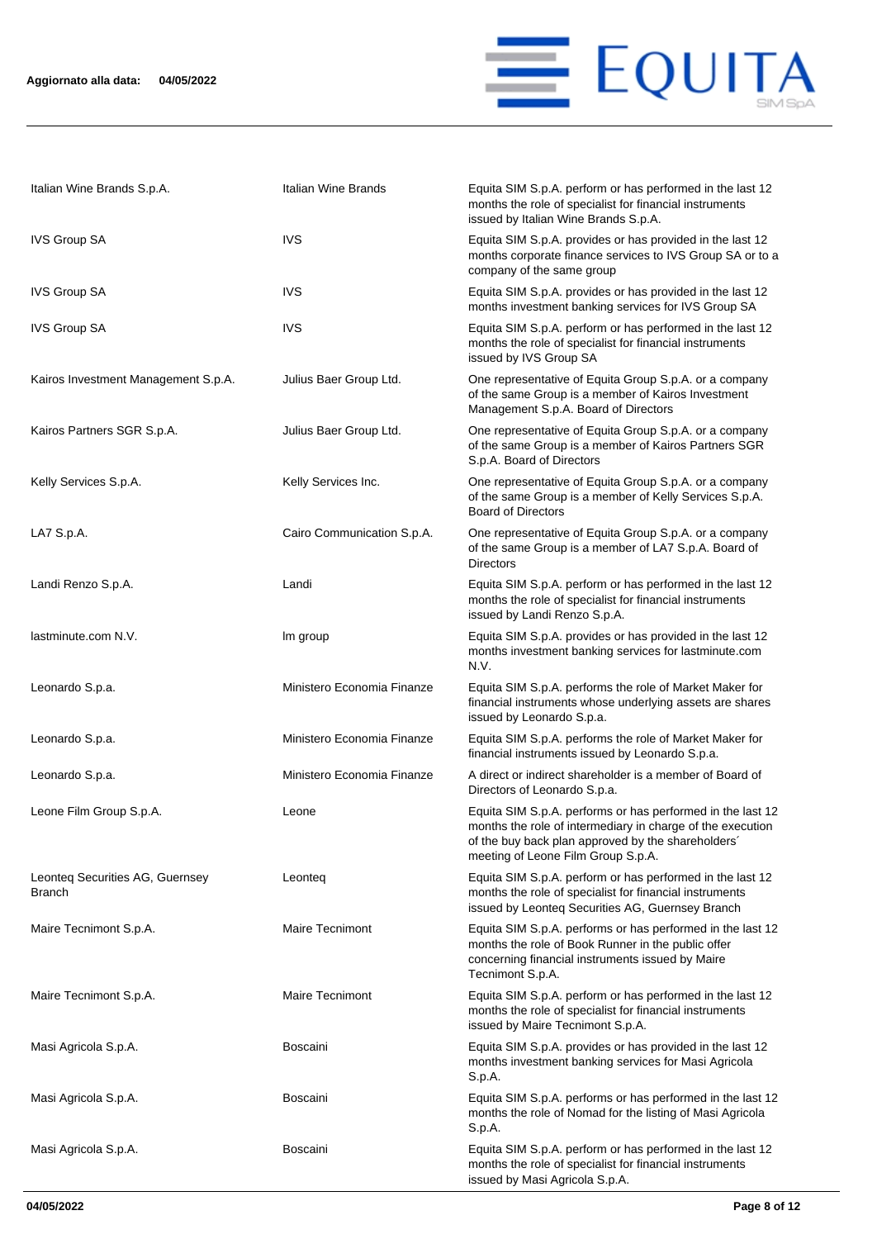

| Italian Wine Brands S.p.A.                       | Italian Wine Brands        | Equita SIM S.p.A. perform or has performed in the last 12<br>months the role of specialist for financial instruments<br>issued by Italian Wine Brands S.p.A.                                                         |
|--------------------------------------------------|----------------------------|----------------------------------------------------------------------------------------------------------------------------------------------------------------------------------------------------------------------|
| <b>IVS Group SA</b>                              | <b>IVS</b>                 | Equita SIM S.p.A. provides or has provided in the last 12<br>months corporate finance services to IVS Group SA or to a<br>company of the same group                                                                  |
| <b>IVS Group SA</b>                              | <b>IVS</b>                 | Equita SIM S.p.A. provides or has provided in the last 12<br>months investment banking services for IVS Group SA                                                                                                     |
| <b>IVS Group SA</b>                              | <b>IVS</b>                 | Equita SIM S.p.A. perform or has performed in the last 12<br>months the role of specialist for financial instruments<br>issued by IVS Group SA                                                                       |
| Kairos Investment Management S.p.A.              | Julius Baer Group Ltd.     | One representative of Equita Group S.p.A. or a company<br>of the same Group is a member of Kairos Investment<br>Management S.p.A. Board of Directors                                                                 |
| Kairos Partners SGR S.p.A.                       | Julius Baer Group Ltd.     | One representative of Equita Group S.p.A. or a company<br>of the same Group is a member of Kairos Partners SGR<br>S.p.A. Board of Directors                                                                          |
| Kelly Services S.p.A.                            | Kelly Services Inc.        | One representative of Equita Group S.p.A. or a company<br>of the same Group is a member of Kelly Services S.p.A.<br><b>Board of Directors</b>                                                                        |
| LA7 S.p.A.                                       | Cairo Communication S.p.A. | One representative of Equita Group S.p.A. or a company<br>of the same Group is a member of LA7 S.p.A. Board of<br><b>Directors</b>                                                                                   |
| Landi Renzo S.p.A.                               | Landi                      | Equita SIM S.p.A. perform or has performed in the last 12<br>months the role of specialist for financial instruments<br>issued by Landi Renzo S.p.A.                                                                 |
| lastminute.com N.V.                              | Im group                   | Equita SIM S.p.A. provides or has provided in the last 12<br>months investment banking services for lastminute.com<br>N.V.                                                                                           |
| Leonardo S.p.a.                                  | Ministero Economia Finanze | Equita SIM S.p.A. performs the role of Market Maker for<br>financial instruments whose underlying assets are shares<br>issued by Leonardo S.p.a.                                                                     |
| Leonardo S.p.a.                                  | Ministero Economia Finanze | Equita SIM S.p.A. performs the role of Market Maker for<br>financial instruments issued by Leonardo S.p.a.                                                                                                           |
| Leonardo S.p.a.                                  | Ministero Economia Finanze | A direct or indirect shareholder is a member of Board of<br>Directors of Leonardo S.p.a.                                                                                                                             |
| Leone Film Group S.p.A.                          | Leone                      | Equita SIM S.p.A. performs or has performed in the last 12<br>months the role of intermediary in charge of the execution<br>of the buy back plan approved by the shareholders'<br>meeting of Leone Film Group S.p.A. |
| Leonteq Securities AG, Guernsey<br><b>Branch</b> | Leonteg                    | Equita SIM S.p.A. perform or has performed in the last 12<br>months the role of specialist for financial instruments<br>issued by Leonteq Securities AG, Guernsey Branch                                             |
| Maire Tecnimont S.p.A.                           | <b>Maire Tecnimont</b>     | Equita SIM S.p.A. performs or has performed in the last 12<br>months the role of Book Runner in the public offer<br>concerning financial instruments issued by Maire<br>Tecnimont S.p.A.                             |
| Maire Tecnimont S.p.A.                           | <b>Maire Tecnimont</b>     | Equita SIM S.p.A. perform or has performed in the last 12<br>months the role of specialist for financial instruments<br>issued by Maire Tecnimont S.p.A.                                                             |
| Masi Agricola S.p.A.                             | <b>Boscaini</b>            | Equita SIM S.p.A. provides or has provided in the last 12<br>months investment banking services for Masi Agricola<br>S.p.A.                                                                                          |
| Masi Agricola S.p.A.                             | <b>Boscaini</b>            | Equita SIM S.p.A. performs or has performed in the last 12<br>months the role of Nomad for the listing of Masi Agricola<br>S.p.A.                                                                                    |
| Masi Agricola S.p.A.                             | Boscaini                   | Equita SIM S.p.A. perform or has performed in the last 12<br>months the role of specialist for financial instruments<br>issued by Masi Agricola S.p.A.                                                               |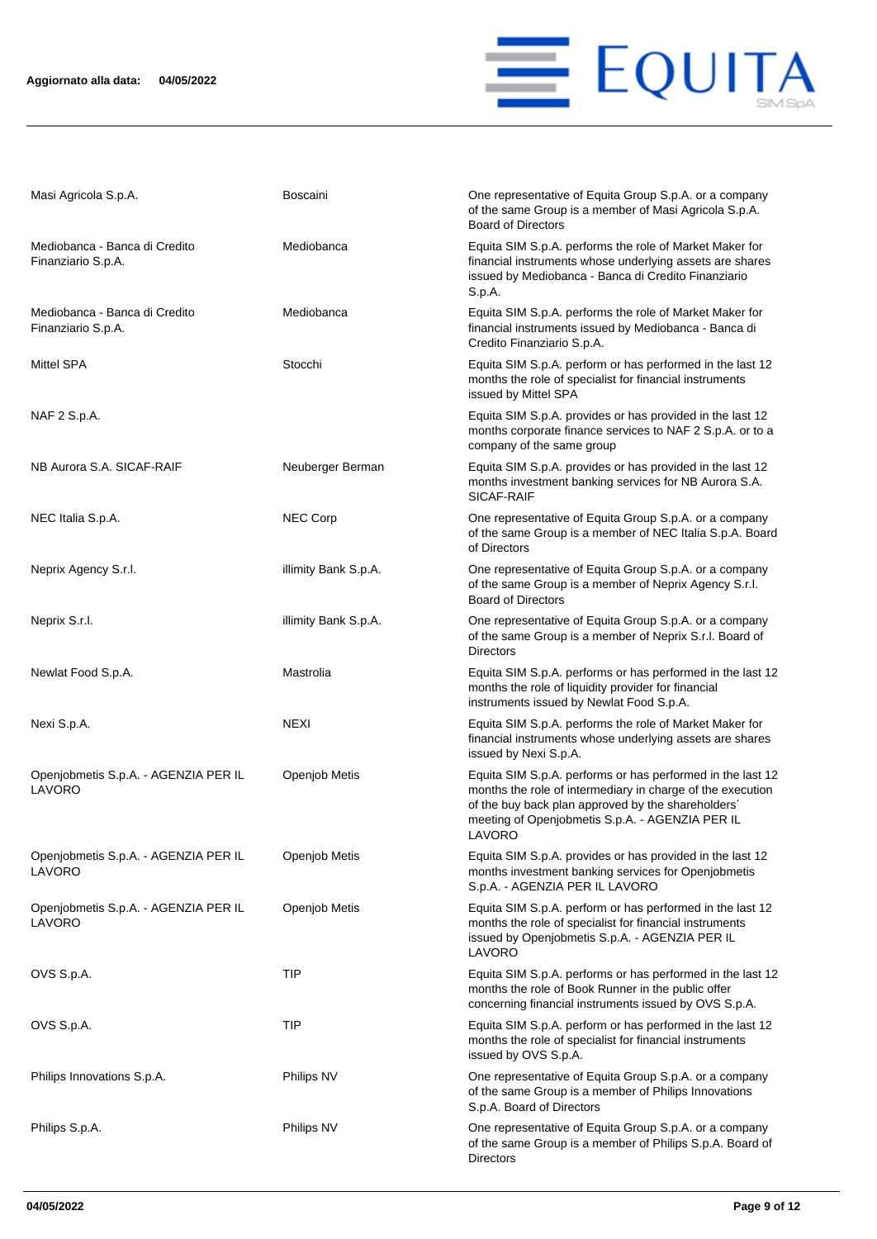

| Masi Agricola S.p.A.                                | <b>Boscaini</b>      | One representative of Equita Group S.p.A. or a company<br>of the same Group is a member of Masi Agricola S.p.A.<br><b>Board of Directors</b>                                                                                                |
|-----------------------------------------------------|----------------------|---------------------------------------------------------------------------------------------------------------------------------------------------------------------------------------------------------------------------------------------|
| Mediobanca - Banca di Credito<br>Finanziario S.p.A. | Mediobanca           | Equita SIM S.p.A. performs the role of Market Maker for<br>financial instruments whose underlying assets are shares<br>issued by Mediobanca - Banca di Credito Finanziario<br>S.p.A.                                                        |
| Mediobanca - Banca di Credito<br>Finanziario S.p.A. | Mediobanca           | Equita SIM S.p.A. performs the role of Market Maker for<br>financial instruments issued by Mediobanca - Banca di<br>Credito Finanziario S.p.A.                                                                                              |
| Mittel SPA                                          | Stocchi              | Equita SIM S.p.A. perform or has performed in the last 12<br>months the role of specialist for financial instruments<br>issued by Mittel SPA                                                                                                |
| NAF 2 S.p.A.                                        |                      | Equita SIM S.p.A. provides or has provided in the last 12<br>months corporate finance services to NAF 2 S.p.A. or to a<br>company of the same group                                                                                         |
| NB Aurora S.A. SICAF-RAIF                           | Neuberger Berman     | Equita SIM S.p.A. provides or has provided in the last 12<br>months investment banking services for NB Aurora S.A.<br>SICAF-RAIF                                                                                                            |
| NEC Italia S.p.A.                                   | <b>NEC Corp</b>      | One representative of Equita Group S.p.A. or a company<br>of the same Group is a member of NEC Italia S.p.A. Board<br>of Directors                                                                                                          |
| Neprix Agency S.r.l.                                | illimity Bank S.p.A. | One representative of Equita Group S.p.A. or a company<br>of the same Group is a member of Neprix Agency S.r.l.<br><b>Board of Directors</b>                                                                                                |
| Neprix S.r.l.                                       | illimity Bank S.p.A. | One representative of Equita Group S.p.A. or a company<br>of the same Group is a member of Neprix S.r.l. Board of<br><b>Directors</b>                                                                                                       |
| Newlat Food S.p.A.                                  | Mastrolia            | Equita SIM S.p.A. performs or has performed in the last 12<br>months the role of liquidity provider for financial<br>instruments issued by Newlat Food S.p.A.                                                                               |
| Nexi S.p.A.                                         | <b>NEXI</b>          | Equita SIM S.p.A. performs the role of Market Maker for<br>financial instruments whose underlying assets are shares<br>issued by Nexi S.p.A.                                                                                                |
| Openjobmetis S.p.A. - AGENZIA PER IL<br>LAVORO      | Openjob Metis        | Equita SIM S.p.A. performs or has performed in the last 12<br>months the role of intermediary in charge of the execution<br>of the buy back plan approved by the shareholders'<br>meeting of Openjobmetis S.p.A. - AGENZIA PER IL<br>LAVORO |
| Openjobmetis S.p.A. - AGENZIA PER IL<br>LAVORO      | Openjob Metis        | Equita SIM S.p.A. provides or has provided in the last 12<br>months investment banking services for Openjobmetis<br>S.p.A. - AGENZIA PER IL LAVORO                                                                                          |
| Openjobmetis S.p.A. - AGENZIA PER IL<br>LAVORO      | Openjob Metis        | Equita SIM S.p.A. perform or has performed in the last 12<br>months the role of specialist for financial instruments<br>issued by Openjobmetis S.p.A. - AGENZIA PER IL<br>LAVORO                                                            |
| OVS S.p.A.                                          | TIP                  | Equita SIM S.p.A. performs or has performed in the last 12<br>months the role of Book Runner in the public offer<br>concerning financial instruments issued by OVS S.p.A.                                                                   |
| OVS S.p.A.                                          | TIP                  | Equita SIM S.p.A. perform or has performed in the last 12<br>months the role of specialist for financial instruments<br>issued by OVS S.p.A.                                                                                                |
| Philips Innovations S.p.A.                          | Philips NV           | One representative of Equita Group S.p.A. or a company<br>of the same Group is a member of Philips Innovations<br>S.p.A. Board of Directors                                                                                                 |
| Philips S.p.A.                                      | Philips NV           | One representative of Equita Group S.p.A. or a company<br>of the same Group is a member of Philips S.p.A. Board of<br><b>Directors</b>                                                                                                      |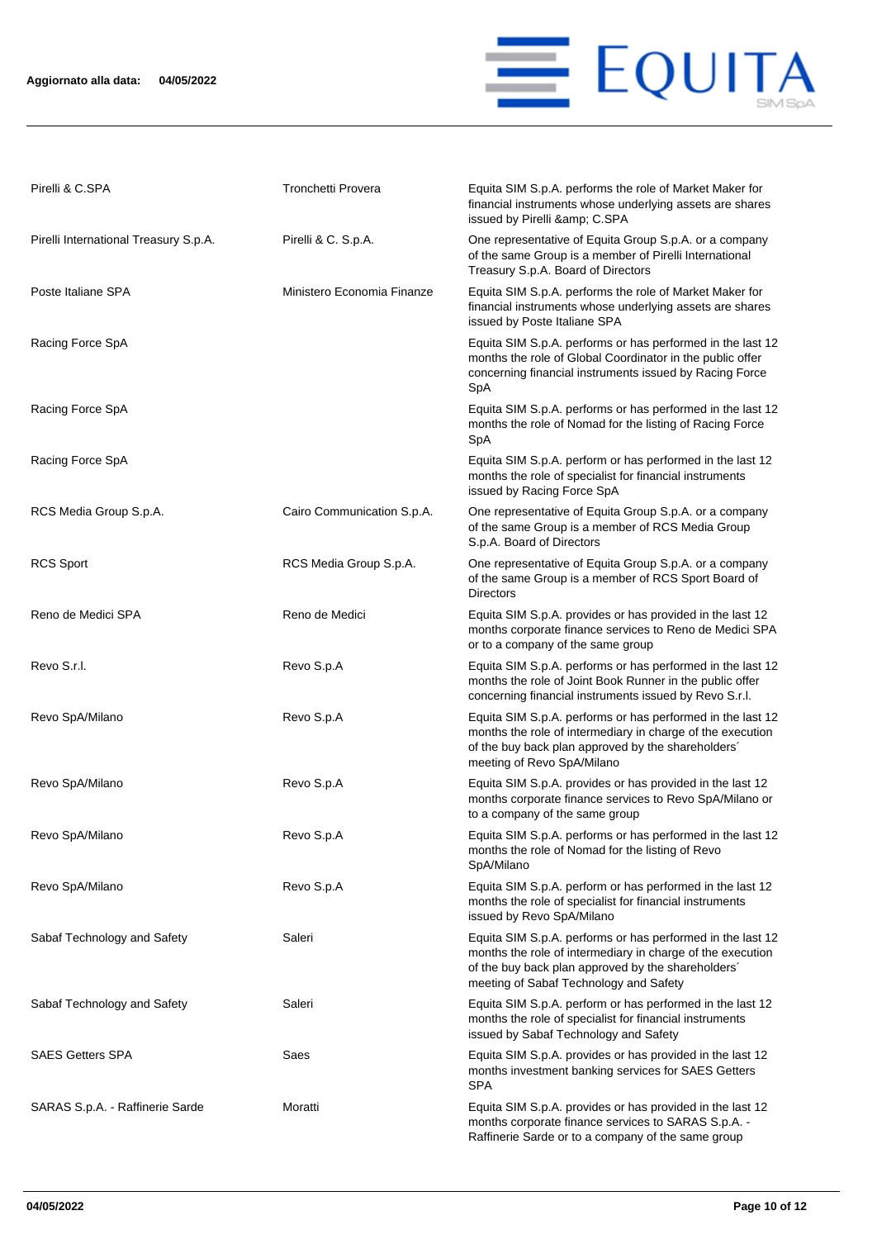### **Aggiornato alla data: 04/05/2022**



| Pirelli & C.SPA                       | Tronchetti Provera         | Equita SIM S.p.A. performs the role of Market Maker for<br>financial instruments whose underlying assets are shares<br>issued by Pirelli & C.SPA                                                                         |
|---------------------------------------|----------------------------|--------------------------------------------------------------------------------------------------------------------------------------------------------------------------------------------------------------------------|
| Pirelli International Treasury S.p.A. | Pirelli & C. S.p.A.        | One representative of Equita Group S.p.A. or a company<br>of the same Group is a member of Pirelli International<br>Treasury S.p.A. Board of Directors                                                                   |
| Poste Italiane SPA                    | Ministero Economia Finanze | Equita SIM S.p.A. performs the role of Market Maker for<br>financial instruments whose underlying assets are shares<br>issued by Poste Italiane SPA                                                                      |
| Racing Force SpA                      |                            | Equita SIM S.p.A. performs or has performed in the last 12<br>months the role of Global Coordinator in the public offer<br>concerning financial instruments issued by Racing Force<br>SpA                                |
| Racing Force SpA                      |                            | Equita SIM S.p.A. performs or has performed in the last 12<br>months the role of Nomad for the listing of Racing Force<br>SpA                                                                                            |
| Racing Force SpA                      |                            | Equita SIM S.p.A. perform or has performed in the last 12<br>months the role of specialist for financial instruments<br>issued by Racing Force SpA                                                                       |
| RCS Media Group S.p.A.                | Cairo Communication S.p.A. | One representative of Equita Group S.p.A. or a company<br>of the same Group is a member of RCS Media Group<br>S.p.A. Board of Directors                                                                                  |
| <b>RCS Sport</b>                      | RCS Media Group S.p.A.     | One representative of Equita Group S.p.A. or a company<br>of the same Group is a member of RCS Sport Board of<br><b>Directors</b>                                                                                        |
| Reno de Medici SPA                    | Reno de Medici             | Equita SIM S.p.A. provides or has provided in the last 12<br>months corporate finance services to Reno de Medici SPA<br>or to a company of the same group                                                                |
| Revo S.r.l.                           | Revo S.p.A                 | Equita SIM S.p.A. performs or has performed in the last 12<br>months the role of Joint Book Runner in the public offer<br>concerning financial instruments issued by Revo S.r.l.                                         |
| Revo SpA/Milano                       | Revo S.p.A                 | Equita SIM S.p.A. performs or has performed in the last 12<br>months the role of intermediary in charge of the execution<br>of the buy back plan approved by the shareholders'<br>meeting of Revo SpA/Milano             |
| Revo SpA/Milano                       | Revo S.p.A                 | Equita SIM S.p.A. provides or has provided in the last 12<br>months corporate finance services to Revo SpA/Milano or<br>to a company of the same group                                                                   |
| Revo SpA/Milano                       | Revo S.p.A                 | Equita SIM S.p.A. performs or has performed in the last 12<br>months the role of Nomad for the listing of Revo<br>SpA/Milano                                                                                             |
| Revo SpA/Milano                       | Revo S.p.A                 | Equita SIM S.p.A. perform or has performed in the last 12<br>months the role of specialist for financial instruments<br>issued by Revo SpA/Milano                                                                        |
| Sabaf Technology and Safety           | Saleri                     | Equita SIM S.p.A. performs or has performed in the last 12<br>months the role of intermediary in charge of the execution<br>of the buy back plan approved by the shareholders'<br>meeting of Sabaf Technology and Safety |
| Sabaf Technology and Safety           | Saleri                     | Equita SIM S.p.A. perform or has performed in the last 12<br>months the role of specialist for financial instruments<br>issued by Sabaf Technology and Safety                                                            |
| <b>SAES Getters SPA</b>               | Saes                       | Equita SIM S.p.A. provides or has provided in the last 12<br>months investment banking services for SAES Getters<br><b>SPA</b>                                                                                           |
| SARAS S.p.A. - Raffinerie Sarde       | Moratti                    | Equita SIM S.p.A. provides or has provided in the last 12<br>months corporate finance services to SARAS S.p.A. -<br>Raffinerie Sarde or to a company of the same group                                                   |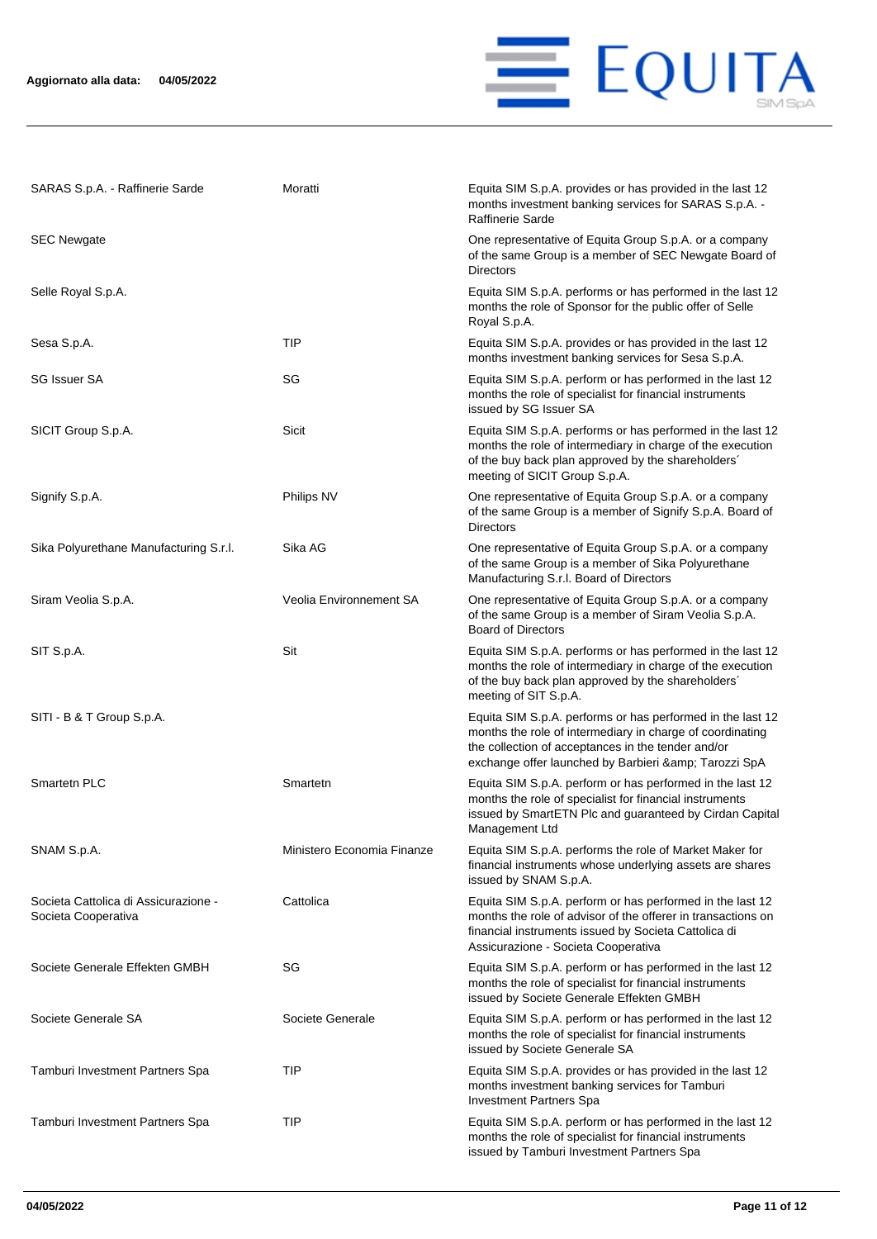

| SARAS S.p.A. - Raffinerie Sarde                             | Moratti                    | Equita SIM S.p.A. provides or has provided in the last 12<br>months investment banking services for SARAS S.p.A. -<br>Raffinerie Sarde                                                                                                  |
|-------------------------------------------------------------|----------------------------|-----------------------------------------------------------------------------------------------------------------------------------------------------------------------------------------------------------------------------------------|
| <b>SEC Newgate</b>                                          |                            | One representative of Equita Group S.p.A. or a company<br>of the same Group is a member of SEC Newgate Board of<br><b>Directors</b>                                                                                                     |
| Selle Royal S.p.A.                                          |                            | Equita SIM S.p.A. performs or has performed in the last 12<br>months the role of Sponsor for the public offer of Selle<br>Royal S.p.A.                                                                                                  |
| Sesa S.p.A.                                                 | TIP                        | Equita SIM S.p.A. provides or has provided in the last 12<br>months investment banking services for Sesa S.p.A.                                                                                                                         |
| <b>SG Issuer SA</b>                                         | SG                         | Equita SIM S.p.A. perform or has performed in the last 12<br>months the role of specialist for financial instruments<br>issued by SG Issuer SA                                                                                          |
| SICIT Group S.p.A.                                          | Sicit                      | Equita SIM S.p.A. performs or has performed in the last 12<br>months the role of intermediary in charge of the execution<br>of the buy back plan approved by the shareholders'<br>meeting of SICIT Group S.p.A.                         |
| Signify S.p.A.                                              | Philips NV                 | One representative of Equita Group S.p.A. or a company<br>of the same Group is a member of Signify S.p.A. Board of<br><b>Directors</b>                                                                                                  |
| Sika Polyurethane Manufacturing S.r.l.                      | Sika AG                    | One representative of Equita Group S.p.A. or a company<br>of the same Group is a member of Sika Polyurethane<br>Manufacturing S.r.l. Board of Directors                                                                                 |
| Siram Veolia S.p.A.                                         | Veolia Environnement SA    | One representative of Equita Group S.p.A. or a company<br>of the same Group is a member of Siram Veolia S.p.A.<br><b>Board of Directors</b>                                                                                             |
| SIT S.p.A.                                                  | Sit                        | Equita SIM S.p.A. performs or has performed in the last 12<br>months the role of intermediary in charge of the execution<br>of the buy back plan approved by the shareholders'<br>meeting of SIT S.p.A.                                 |
| SITI - B & T Group S.p.A.                                   |                            | Equita SIM S.p.A. performs or has performed in the last 12<br>months the role of intermediary in charge of coordinating<br>the collection of acceptances in the tender and/or<br>exchange offer launched by Barbieri & amp; Tarozzi SpA |
| Smartetn PLC                                                | Smartetn                   | Equita SIM S.p.A. perform or has performed in the last 12<br>months the role of specialist for financial instruments<br>issued by SmartETN Plc and guaranteed by Cirdan Capital<br>Management Ltd                                       |
| SNAM S.p.A.                                                 | Ministero Economia Finanze | Equita SIM S.p.A. performs the role of Market Maker for<br>financial instruments whose underlying assets are shares<br>issued by SNAM S.p.A.                                                                                            |
| Societa Cattolica di Assicurazione -<br>Societa Cooperativa | Cattolica                  | Equita SIM S.p.A. perform or has performed in the last 12<br>months the role of advisor of the offerer in transactions on<br>financial instruments issued by Societa Cattolica di<br>Assicurazione - Societa Cooperativa                |
| Societe Generale Effekten GMBH                              | SG                         | Equita SIM S.p.A. perform or has performed in the last 12<br>months the role of specialist for financial instruments<br>issued by Societe Generale Effekten GMBH                                                                        |
| Societe Generale SA                                         | Societe Generale           | Equita SIM S.p.A. perform or has performed in the last 12<br>months the role of specialist for financial instruments<br>issued by Societe Generale SA                                                                                   |
| Tamburi Investment Partners Spa                             | TIP                        | Equita SIM S.p.A. provides or has provided in the last 12<br>months investment banking services for Tamburi<br><b>Investment Partners Spa</b>                                                                                           |
| Tamburi Investment Partners Spa                             | TIP                        | Equita SIM S.p.A. perform or has performed in the last 12<br>months the role of specialist for financial instruments<br>issued by Tamburi Investment Partners Spa                                                                       |